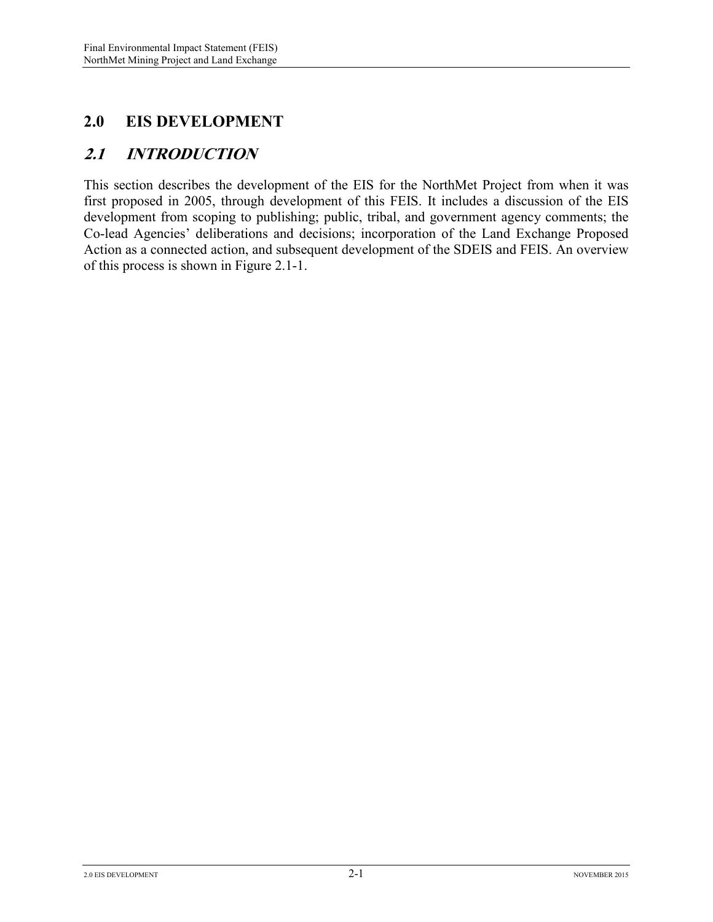# **2.0 EIS DEVELOPMENT**

# **2.1 INTRODUCTION**

This section describes the development of the EIS for the NorthMet Project from when it was first proposed in 2005, through development of this FEIS. It includes a discussion of the EIS development from scoping to publishing; public, tribal, and government agency comments; the Co-lead Agencies' deliberations and decisions; incorporation of the Land Exchange Proposed Action as a connected action, and subsequent development of the SDEIS and FEIS. An overview of this process is shown in Figure 2.1-1.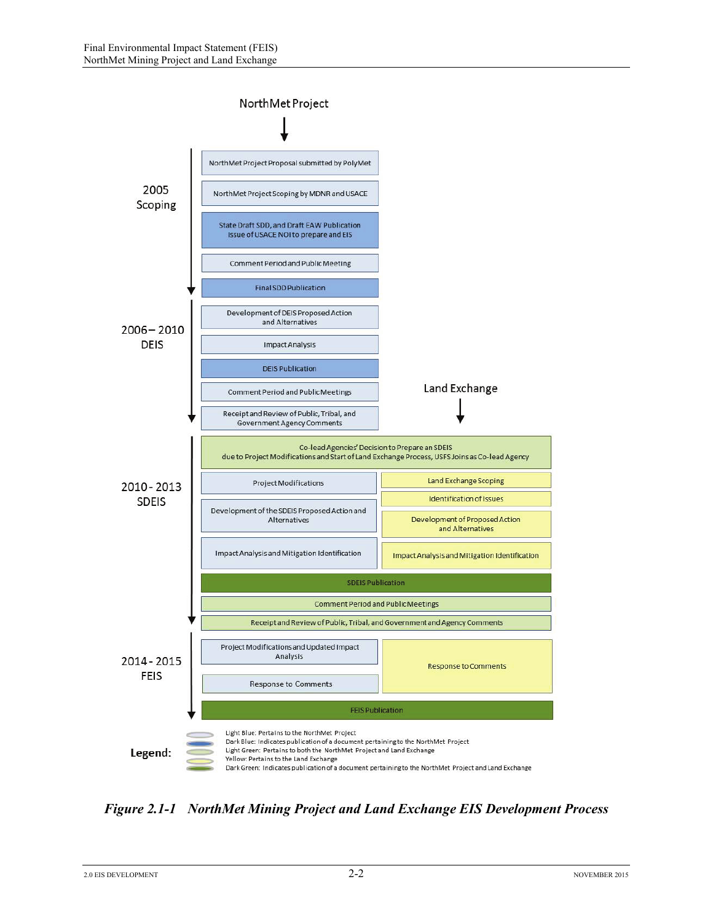

*Figure 2.1-1 NorthMet Mining Project and Land Exchange EIS Development Process*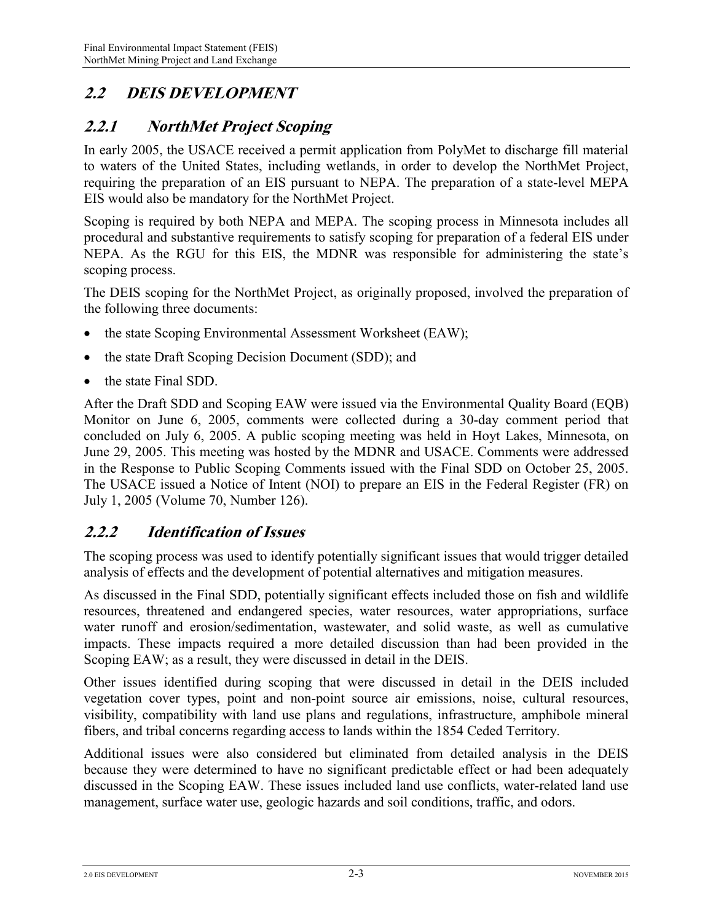# **2.2 DEIS DEVELOPMENT**

# **2.2.1 NorthMet Project Scoping**

In early 2005, the USACE received a permit application from PolyMet to discharge fill material to waters of the United States, including wetlands, in order to develop the NorthMet Project, requiring the preparation of an EIS pursuant to NEPA. The preparation of a state-level MEPA EIS would also be mandatory for the NorthMet Project.

Scoping is required by both NEPA and MEPA. The scoping process in Minnesota includes all procedural and substantive requirements to satisfy scoping for preparation of a federal EIS under NEPA. As the RGU for this EIS, the MDNR was responsible for administering the state's scoping process.

The DEIS scoping for the NorthMet Project, as originally proposed, involved the preparation of the following three documents:

- the state Scoping Environmental Assessment Worksheet (EAW);
- the state Draft Scoping Decision Document (SDD); and
- the state Final SDD.

After the Draft SDD and Scoping EAW were issued via the Environmental Quality Board (EQB) Monitor on June 6, 2005, comments were collected during a 30-day comment period that concluded on July 6, 2005. A public scoping meeting was held in Hoyt Lakes, Minnesota, on June 29, 2005. This meeting was hosted by the MDNR and USACE. Comments were addressed in the Response to Public Scoping Comments issued with the Final SDD on October 25, 2005. The USACE issued a Notice of Intent (NOI) to prepare an EIS in the Federal Register (FR) on July 1, 2005 (Volume 70, Number 126).

#### **2.2.2 Identification of Issues**

The scoping process was used to identify potentially significant issues that would trigger detailed analysis of effects and the development of potential alternatives and mitigation measures.

As discussed in the Final SDD, potentially significant effects included those on fish and wildlife resources, threatened and endangered species, water resources, water appropriations, surface water runoff and erosion/sedimentation, wastewater, and solid waste, as well as cumulative impacts. These impacts required a more detailed discussion than had been provided in the Scoping EAW; as a result, they were discussed in detail in the DEIS.

Other issues identified during scoping that were discussed in detail in the DEIS included vegetation cover types, point and non-point source air emissions, noise, cultural resources, visibility, compatibility with land use plans and regulations, infrastructure, amphibole mineral fibers, and tribal concerns regarding access to lands within the 1854 Ceded Territory.

Additional issues were also considered but eliminated from detailed analysis in the DEIS because they were determined to have no significant predictable effect or had been adequately discussed in the Scoping EAW. These issues included land use conflicts, water-related land use management, surface water use, geologic hazards and soil conditions, traffic, and odors.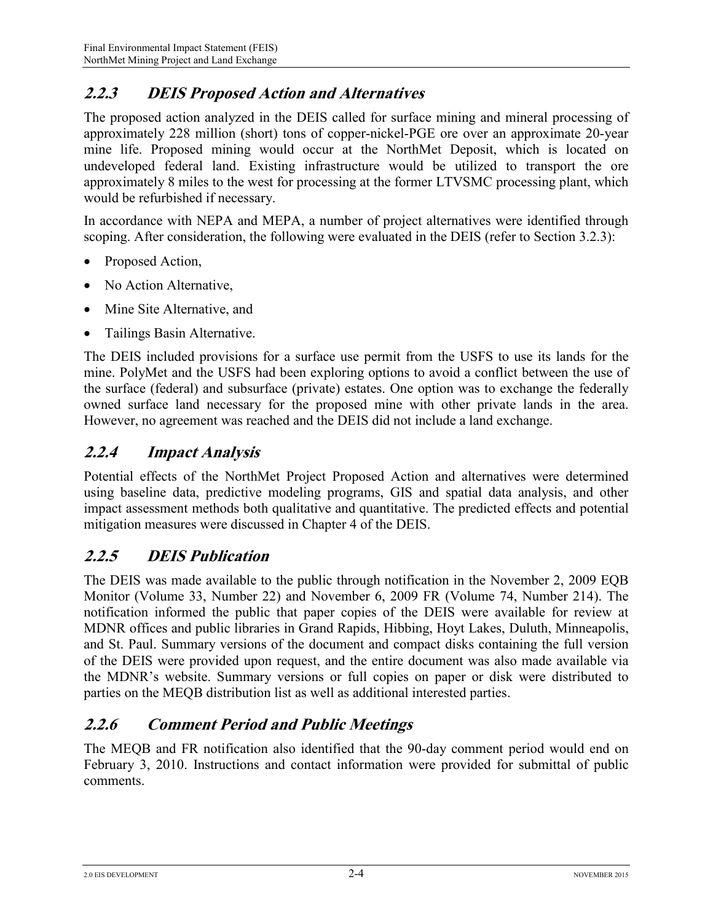## **2.2.3 DEIS Proposed Action and Alternatives**

The proposed action analyzed in the DEIS called for surface mining and mineral processing of approximately 228 million (short) tons of copper-nickel-PGE ore over an approximate 20-year mine life. Proposed mining would occur at the NorthMet Deposit, which is located on undeveloped federal land. Existing infrastructure would be utilized to transport the ore approximately 8 miles to the west for processing at the former LTVSMC processing plant, which would be refurbished if necessary.

In accordance with NEPA and MEPA, a number of project alternatives were identified through scoping. After consideration, the following were evaluated in the DEIS (refer to Section 3.2.3):

- Proposed Action,
- No Action Alternative,
- Mine Site Alternative, and
- Tailings Basin Alternative.

The DEIS included provisions for a surface use permit from the USFS to use its lands for the mine. PolyMet and the USFS had been exploring options to avoid a conflict between the use of the surface (federal) and subsurface (private) estates. One option was to exchange the federally owned surface land necessary for the proposed mine with other private lands in the area. However, no agreement was reached and the DEIS did not include a land exchange.

## **2.2.4 Impact Analysis**

Potential effects of the NorthMet Project Proposed Action and alternatives were determined using baseline data, predictive modeling programs, GIS and spatial data analysis, and other impact assessment methods both qualitative and quantitative. The predicted effects and potential mitigation measures were discussed in Chapter 4 of the DEIS.

## **2.2.5 DEIS Publication**

The DEIS was made available to the public through notification in the November 2, 2009 EQB Monitor (Volume 33, Number 22) and November 6, 2009 FR (Volume 74, Number 214). The notification informed the public that paper copies of the DEIS were available for review at MDNR offices and public libraries in Grand Rapids, Hibbing, Hoyt Lakes, Duluth, Minneapolis, and St. Paul. Summary versions of the document and compact disks containing the full version of the DEIS were provided upon request, and the entire document was also made available via the MDNR's website. Summary versions or full copies on paper or disk were distributed to parties on the MEQB distribution list as well as additional interested parties.

## **2.2.6 Comment Period and Public Meetings**

The MEQB and FR notification also identified that the 90-day comment period would end on February 3, 2010. Instructions and contact information were provided for submittal of public comments.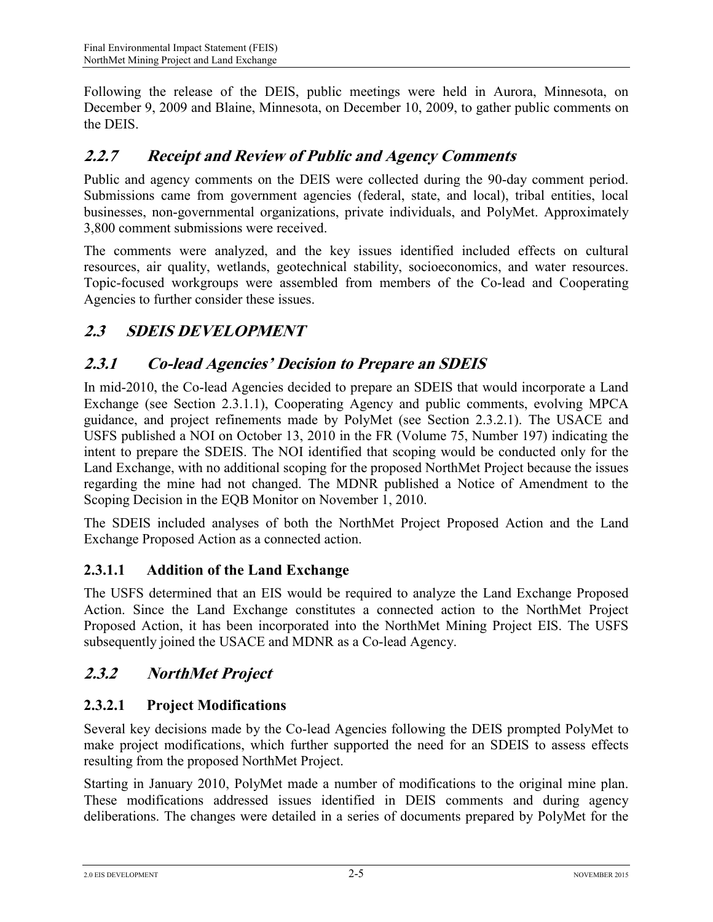Following the release of the DEIS, public meetings were held in Aurora, Minnesota, on December 9, 2009 and Blaine, Minnesota, on December 10, 2009, to gather public comments on the DEIS.

#### **2.2.7 Receipt and Review of Public and Agency Comments**

Public and agency comments on the DEIS were collected during the 90-day comment period. Submissions came from government agencies (federal, state, and local), tribal entities, local businesses, non-governmental organizations, private individuals, and PolyMet. Approximately 3,800 comment submissions were received.

The comments were analyzed, and the key issues identified included effects on cultural resources, air quality, wetlands, geotechnical stability, socioeconomics, and water resources. Topic-focused workgroups were assembled from members of the Co-lead and Cooperating Agencies to further consider these issues.

# **2.3 SDEIS DEVELOPMENT**

## **2.3.1 Co-lead Agencies' Decision to Prepare an SDEIS**

In mid-2010, the Co-lead Agencies decided to prepare an SDEIS that would incorporate a Land Exchange (see Section 2.3.1.1), Cooperating Agency and public comments, evolving MPCA guidance, and project refinements made by PolyMet (see Section 2.3.2.1). The USACE and USFS published a NOI on October 13, 2010 in the FR (Volume 75, Number 197) indicating the intent to prepare the SDEIS. The NOI identified that scoping would be conducted only for the Land Exchange, with no additional scoping for the proposed NorthMet Project because the issues regarding the mine had not changed. The MDNR published a Notice of Amendment to the Scoping Decision in the EQB Monitor on November 1, 2010.

The SDEIS included analyses of both the NorthMet Project Proposed Action and the Land Exchange Proposed Action as a connected action.

#### **2.3.1.1 Addition of the Land Exchange**

The USFS determined that an EIS would be required to analyze the Land Exchange Proposed Action. Since the Land Exchange constitutes a connected action to the NorthMet Project Proposed Action, it has been incorporated into the NorthMet Mining Project EIS. The USFS subsequently joined the USACE and MDNR as a Co-lead Agency.

## **2.3.2 NorthMet Project**

#### **2.3.2.1 Project Modifications**

Several key decisions made by the Co-lead Agencies following the DEIS prompted PolyMet to make project modifications, which further supported the need for an SDEIS to assess effects resulting from the proposed NorthMet Project.

Starting in January 2010, PolyMet made a number of modifications to the original mine plan. These modifications addressed issues identified in DEIS comments and during agency deliberations. The changes were detailed in a series of documents prepared by PolyMet for the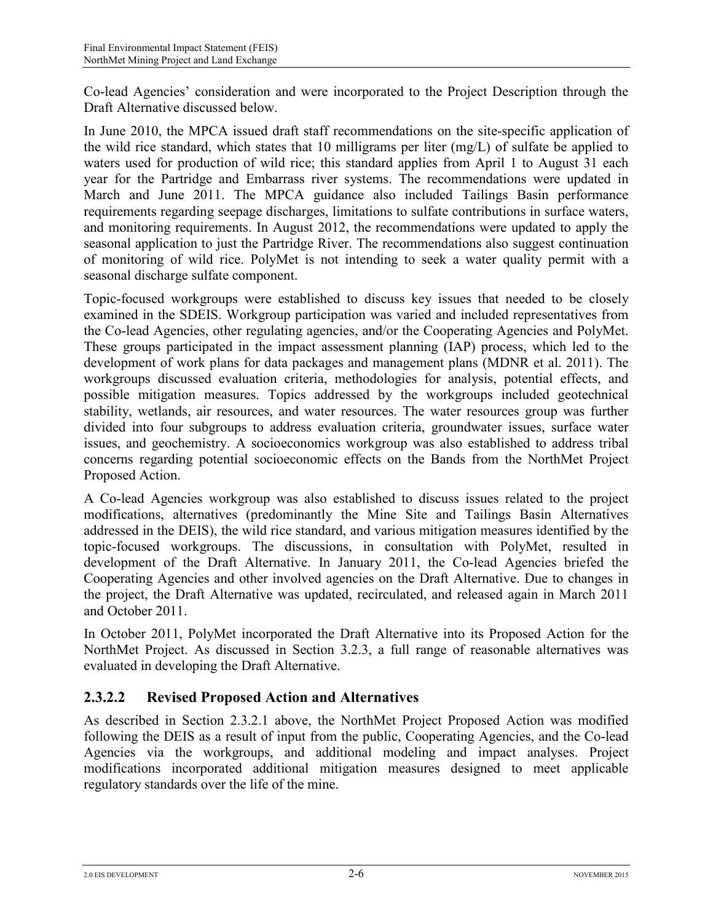Co-lead Agencies' consideration and were incorporated to the Project Description through the Draft Alternative discussed below.

In June 2010, the MPCA issued draft staff recommendations on the site-specific application of the wild rice standard, which states that 10 milligrams per liter (mg/L) of sulfate be applied to waters used for production of wild rice; this standard applies from April 1 to August 31 each year for the Partridge and Embarrass river systems. The recommendations were updated in March and June 2011. The MPCA guidance also included Tailings Basin performance requirements regarding seepage discharges, limitations to sulfate contributions in surface waters, and monitoring requirements. In August 2012, the recommendations were updated to apply the seasonal application to just the Partridge River. The recommendations also suggest continuation of monitoring of wild rice. PolyMet is not intending to seek a water quality permit with a seasonal discharge sulfate component.

Topic-focused workgroups were established to discuss key issues that needed to be closely examined in the SDEIS. Workgroup participation was varied and included representatives from the Co-lead Agencies, other regulating agencies, and/or the Cooperating Agencies and PolyMet. These groups participated in the impact assessment planning (IAP) process, which led to the development of work plans for data packages and management plans (MDNR et al. 2011). The workgroups discussed evaluation criteria, methodologies for analysis, potential effects, and possible mitigation measures. Topics addressed by the workgroups included geotechnical stability, wetlands, air resources, and water resources. The water resources group was further divided into four subgroups to address evaluation criteria, groundwater issues, surface water issues, and geochemistry. A socioeconomics workgroup was also established to address tribal concerns regarding potential socioeconomic effects on the Bands from the NorthMet Project Proposed Action.

A Co-lead Agencies workgroup was also established to discuss issues related to the project modifications, alternatives (predominantly the Mine Site and Tailings Basin Alternatives addressed in the DEIS), the wild rice standard, and various mitigation measures identified by the topic-focused workgroups. The discussions, in consultation with PolyMet, resulted in development of the Draft Alternative. In January 2011, the Co-lead Agencies briefed the Cooperating Agencies and other involved agencies on the Draft Alternative. Due to changes in the project, the Draft Alternative was updated, recirculated, and released again in March 2011 and October 2011.

In October 2011, PolyMet incorporated the Draft Alternative into its Proposed Action for the NorthMet Project. As discussed in Section 3.2.3, a full range of reasonable alternatives was evaluated in developing the Draft Alternative.

## **2.3.2.2 Revised Proposed Action and Alternatives**

As described in Section 2.3.2.1 above, the NorthMet Project Proposed Action was modified following the DEIS as a result of input from the public, Cooperating Agencies, and the Co-lead Agencies via the workgroups, and additional modeling and impact analyses. Project modifications incorporated additional mitigation measures designed to meet applicable regulatory standards over the life of the mine.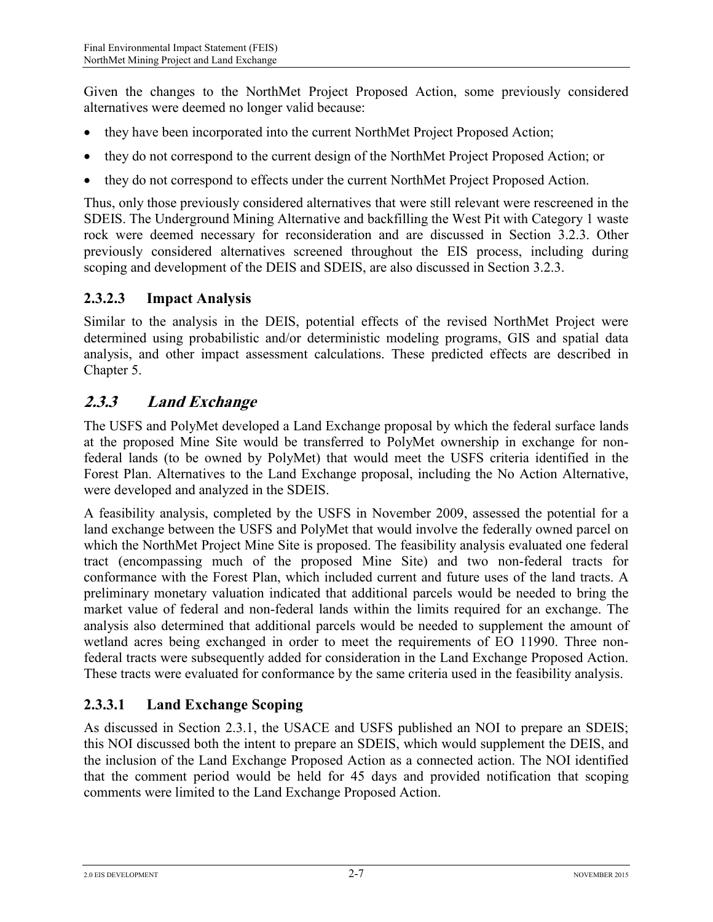Given the changes to the NorthMet Project Proposed Action, some previously considered alternatives were deemed no longer valid because:

- they have been incorporated into the current NorthMet Project Proposed Action;
- they do not correspond to the current design of the NorthMet Project Proposed Action; or
- they do not correspond to effects under the current NorthMet Project Proposed Action.

Thus, only those previously considered alternatives that were still relevant were rescreened in the SDEIS. The Underground Mining Alternative and backfilling the West Pit with Category 1 waste rock were deemed necessary for reconsideration and are discussed in Section 3.2.3. Other previously considered alternatives screened throughout the EIS process, including during scoping and development of the DEIS and SDEIS, are also discussed in Section 3.2.3.

#### **2.3.2.3 Impact Analysis**

Similar to the analysis in the DEIS, potential effects of the revised NorthMet Project were determined using probabilistic and/or deterministic modeling programs, GIS and spatial data analysis, and other impact assessment calculations. These predicted effects are described in Chapter 5.

# **2.3.3 Land Exchange**

The USFS and PolyMet developed a Land Exchange proposal by which the federal surface lands at the proposed Mine Site would be transferred to PolyMet ownership in exchange for nonfederal lands (to be owned by PolyMet) that would meet the USFS criteria identified in the Forest Plan. Alternatives to the Land Exchange proposal, including the No Action Alternative, were developed and analyzed in the SDEIS.

A feasibility analysis, completed by the USFS in November 2009, assessed the potential for a land exchange between the USFS and PolyMet that would involve the federally owned parcel on which the NorthMet Project Mine Site is proposed. The feasibility analysis evaluated one federal tract (encompassing much of the proposed Mine Site) and two non-federal tracts for conformance with the Forest Plan, which included current and future uses of the land tracts. A preliminary monetary valuation indicated that additional parcels would be needed to bring the market value of federal and non-federal lands within the limits required for an exchange. The analysis also determined that additional parcels would be needed to supplement the amount of wetland acres being exchanged in order to meet the requirements of EO 11990. Three nonfederal tracts were subsequently added for consideration in the Land Exchange Proposed Action. These tracts were evaluated for conformance by the same criteria used in the feasibility analysis.

## **2.3.3.1 Land Exchange Scoping**

As discussed in Section 2.3.1, the USACE and USFS published an NOI to prepare an SDEIS; this NOI discussed both the intent to prepare an SDEIS, which would supplement the DEIS, and the inclusion of the Land Exchange Proposed Action as a connected action. The NOI identified that the comment period would be held for 45 days and provided notification that scoping comments were limited to the Land Exchange Proposed Action.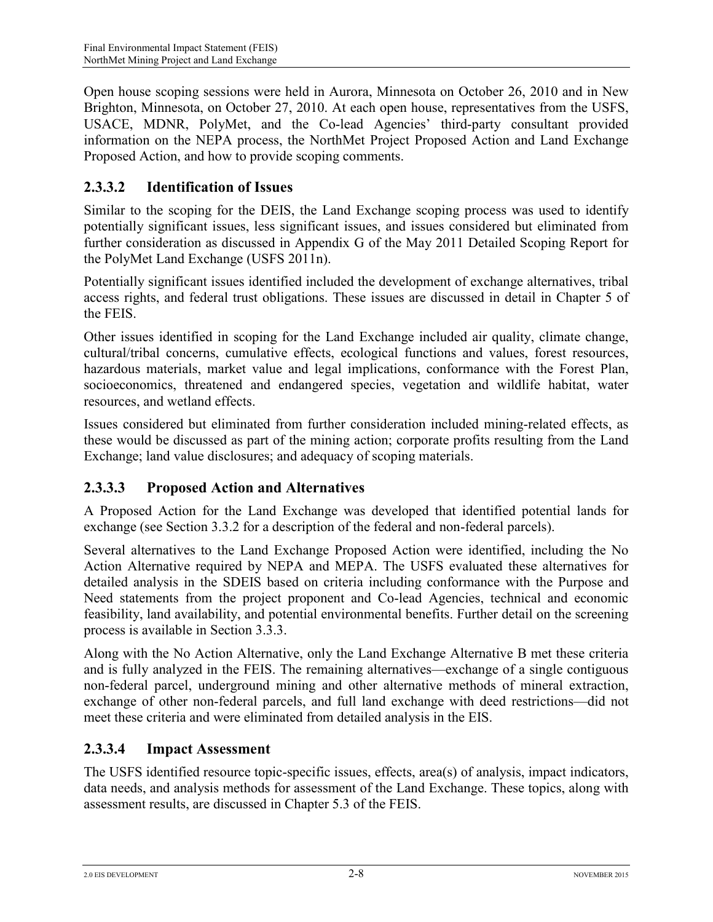Open house scoping sessions were held in Aurora, Minnesota on October 26, 2010 and in New Brighton, Minnesota, on October 27, 2010. At each open house, representatives from the USFS, USACE, MDNR, PolyMet, and the Co-lead Agencies' third-party consultant provided information on the NEPA process, the NorthMet Project Proposed Action and Land Exchange Proposed Action, and how to provide scoping comments.

#### **2.3.3.2 Identification of Issues**

Similar to the scoping for the DEIS, the Land Exchange scoping process was used to identify potentially significant issues, less significant issues, and issues considered but eliminated from further consideration as discussed in Appendix G of the May 2011 Detailed Scoping Report for the PolyMet Land Exchange (USFS 2011n).

Potentially significant issues identified included the development of exchange alternatives, tribal access rights, and federal trust obligations. These issues are discussed in detail in Chapter 5 of the FEIS.

Other issues identified in scoping for the Land Exchange included air quality, climate change, cultural/tribal concerns, cumulative effects, ecological functions and values, forest resources, hazardous materials, market value and legal implications, conformance with the Forest Plan, socioeconomics, threatened and endangered species, vegetation and wildlife habitat, water resources, and wetland effects.

Issues considered but eliminated from further consideration included mining-related effects, as these would be discussed as part of the mining action; corporate profits resulting from the Land Exchange; land value disclosures; and adequacy of scoping materials.

#### **2.3.3.3 Proposed Action and Alternatives**

A Proposed Action for the Land Exchange was developed that identified potential lands for exchange (see Section 3.3.2 for a description of the federal and non-federal parcels).

Several alternatives to the Land Exchange Proposed Action were identified, including the No Action Alternative required by NEPA and MEPA. The USFS evaluated these alternatives for detailed analysis in the SDEIS based on criteria including conformance with the Purpose and Need statements from the project proponent and Co-lead Agencies, technical and economic feasibility, land availability, and potential environmental benefits. Further detail on the screening process is available in Section 3.3.3.

Along with the No Action Alternative, only the Land Exchange Alternative B met these criteria and is fully analyzed in the FEIS. The remaining alternatives—exchange of a single contiguous non-federal parcel, underground mining and other alternative methods of mineral extraction, exchange of other non-federal parcels, and full land exchange with deed restrictions—did not meet these criteria and were eliminated from detailed analysis in the EIS.

#### **2.3.3.4 Impact Assessment**

The USFS identified resource topic-specific issues, effects, area(s) of analysis, impact indicators, data needs, and analysis methods for assessment of the Land Exchange. These topics, along with assessment results, are discussed in Chapter 5.3 of the FEIS.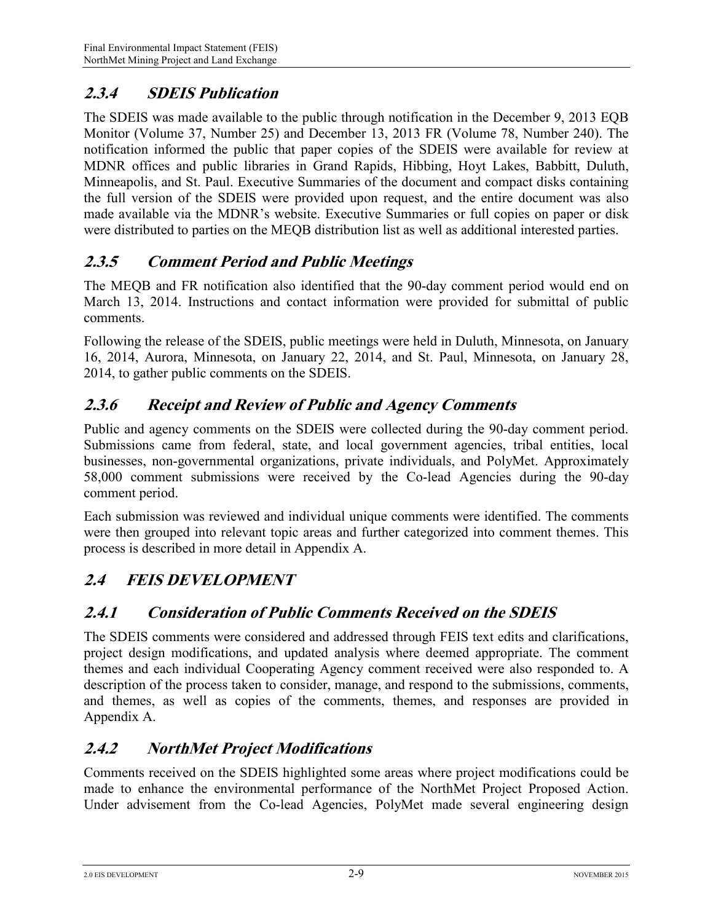# **2.3.4 SDEIS Publication**

The SDEIS was made available to the public through notification in the December 9, 2013 EQB Monitor (Volume 37, Number 25) and December 13, 2013 FR (Volume 78, Number 240). The notification informed the public that paper copies of the SDEIS were available for review at MDNR offices and public libraries in Grand Rapids, Hibbing, Hoyt Lakes, Babbitt, Duluth, Minneapolis, and St. Paul. Executive Summaries of the document and compact disks containing the full version of the SDEIS were provided upon request, and the entire document was also made available via the MDNR's website. Executive Summaries or full copies on paper or disk were distributed to parties on the MEQB distribution list as well as additional interested parties.

# **2.3.5 Comment Period and Public Meetings**

The MEQB and FR notification also identified that the 90-day comment period would end on March 13, 2014. Instructions and contact information were provided for submittal of public comments.

Following the release of the SDEIS, public meetings were held in Duluth, Minnesota, on January 16, 2014, Aurora, Minnesota, on January 22, 2014, and St. Paul, Minnesota, on January 28, 2014, to gather public comments on the SDEIS.

## **2.3.6 Receipt and Review of Public and Agency Comments**

Public and agency comments on the SDEIS were collected during the 90-day comment period. Submissions came from federal, state, and local government agencies, tribal entities, local businesses, non-governmental organizations, private individuals, and PolyMet. Approximately 58,000 comment submissions were received by the Co-lead Agencies during the 90-day comment period.

Each submission was reviewed and individual unique comments were identified. The comments were then grouped into relevant topic areas and further categorized into comment themes. This process is described in more detail in Appendix A.

## **2.4 FEIS DEVELOPMENT**

## **2.4.1 Consideration of Public Comments Received on the SDEIS**

The SDEIS comments were considered and addressed through FEIS text edits and clarifications, project design modifications, and updated analysis where deemed appropriate. The comment themes and each individual Cooperating Agency comment received were also responded to. A description of the process taken to consider, manage, and respond to the submissions, comments, and themes, as well as copies of the comments, themes, and responses are provided in Appendix A.

## **2.4.2 NorthMet Project Modifications**

Comments received on the SDEIS highlighted some areas where project modifications could be made to enhance the environmental performance of the NorthMet Project Proposed Action. Under advisement from the Co-lead Agencies, PolyMet made several engineering design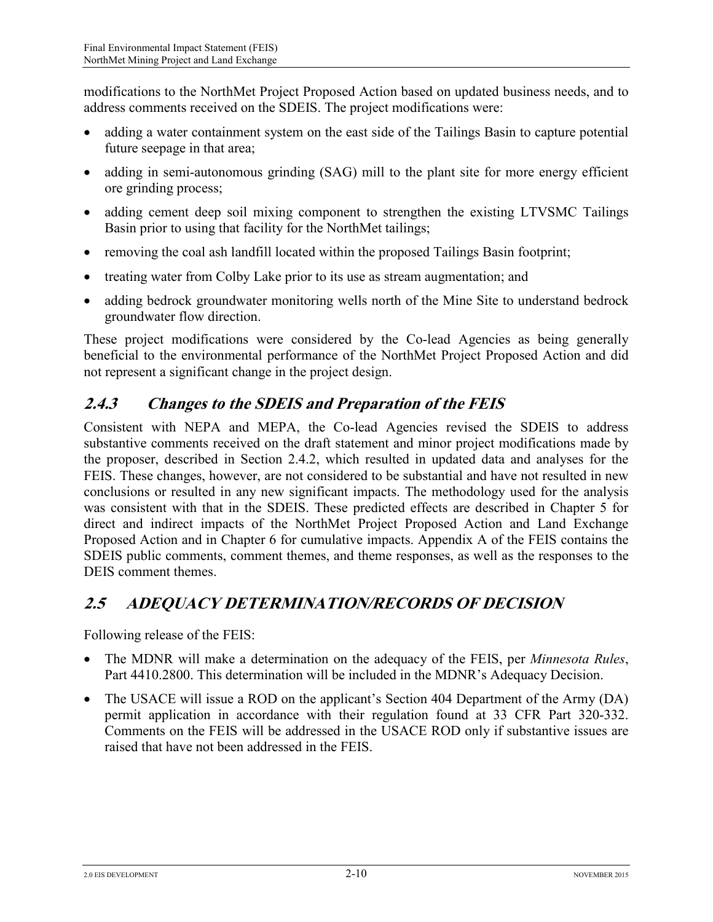modifications to the NorthMet Project Proposed Action based on updated business needs, and to address comments received on the SDEIS. The project modifications were:

- adding a water containment system on the east side of the Tailings Basin to capture potential future seepage in that area;
- adding in semi-autonomous grinding (SAG) mill to the plant site for more energy efficient ore grinding process;
- adding cement deep soil mixing component to strengthen the existing LTVSMC Tailings Basin prior to using that facility for the NorthMet tailings;
- removing the coal ash landfill located within the proposed Tailings Basin footprint;
- treating water from Colby Lake prior to its use as stream augmentation; and
- adding bedrock groundwater monitoring wells north of the Mine Site to understand bedrock groundwater flow direction.

These project modifications were considered by the Co-lead Agencies as being generally beneficial to the environmental performance of the NorthMet Project Proposed Action and did not represent a significant change in the project design.

# **2.4.3 Changes to the SDEIS and Preparation of the FEIS**

Consistent with NEPA and MEPA, the Co-lead Agencies revised the SDEIS to address substantive comments received on the draft statement and minor project modifications made by the proposer, described in Section 2.4.2, which resulted in updated data and analyses for the FEIS. These changes, however, are not considered to be substantial and have not resulted in new conclusions or resulted in any new significant impacts. The methodology used for the analysis was consistent with that in the SDEIS. These predicted effects are described in Chapter 5 for direct and indirect impacts of the NorthMet Project Proposed Action and Land Exchange Proposed Action and in Chapter 6 for cumulative impacts. Appendix A of the FEIS contains the SDEIS public comments, comment themes, and theme responses, as well as the responses to the DEIS comment themes.

# **2.5 ADEQUACY DETERMINATION/RECORDS OF DECISION**

Following release of the FEIS:

- The MDNR will make a determination on the adequacy of the FEIS, per *Minnesota Rules*, Part 4410.2800. This determination will be included in the MDNR's Adequacy Decision.
- The USACE will issue a ROD on the applicant's Section 404 Department of the Army (DA) permit application in accordance with their regulation found at 33 CFR Part 320-332. Comments on the FEIS will be addressed in the USACE ROD only if substantive issues are raised that have not been addressed in the FEIS.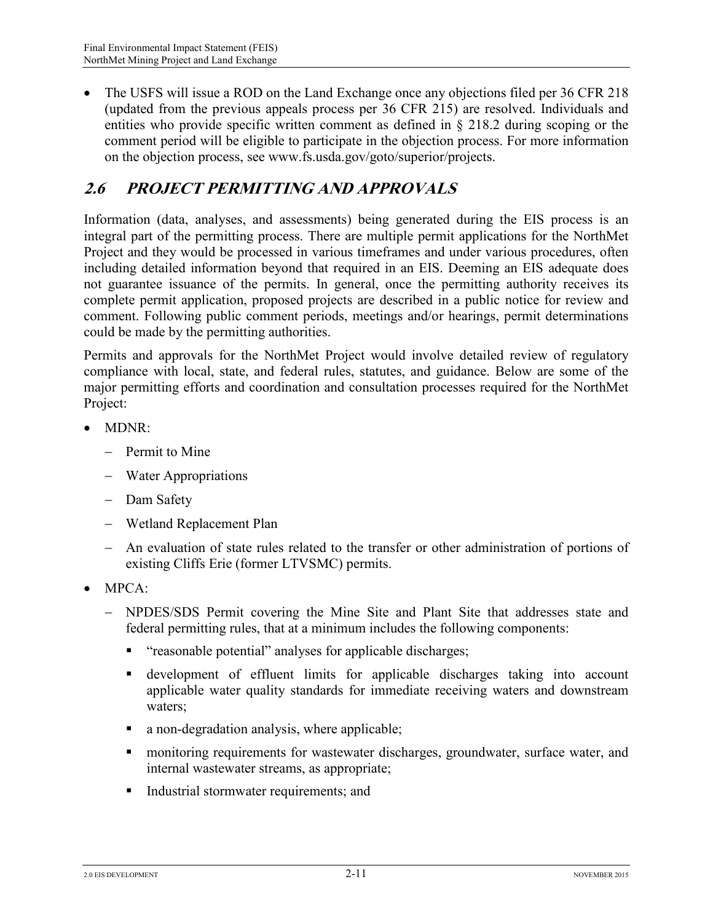• The USFS will issue a ROD on the Land Exchange once any objections filed per 36 CFR 218 (updated from the previous appeals process per 36 CFR 215) are resolved. Individuals and entities who provide specific written comment as defined in § 218.2 during scoping or the comment period will be eligible to participate in the objection process. For more information on the objection process, see www.fs.usda.gov/goto/superior/projects.

# **2.6 PROJECT PERMITTING AND APPROVALS**

Information (data, analyses, and assessments) being generated during the EIS process is an integral part of the permitting process. There are multiple permit applications for the NorthMet Project and they would be processed in various timeframes and under various procedures, often including detailed information beyond that required in an EIS. Deeming an EIS adequate does not guarantee issuance of the permits. In general, once the permitting authority receives its complete permit application, proposed projects are described in a public notice for review and comment. Following public comment periods, meetings and/or hearings, permit determinations could be made by the permitting authorities.

Permits and approvals for the NorthMet Project would involve detailed review of regulatory compliance with local, state, and federal rules, statutes, and guidance. Below are some of the major permitting efforts and coordination and consultation processes required for the NorthMet Project:

- MDNR:
	- − Permit to Mine
	- − Water Appropriations
	- − Dam Safety
	- − Wetland Replacement Plan
	- − An evaluation of state rules related to the transfer or other administration of portions of existing Cliffs Erie (former LTVSMC) permits.
- MPCA:
	- − NPDES/SDS Permit covering the Mine Site and Plant Site that addresses state and federal permitting rules, that at a minimum includes the following components:
		- "reasonable potential" analyses for applicable discharges;
		- development of effluent limits for applicable discharges taking into account applicable water quality standards for immediate receiving waters and downstream waters;
		- a non-degradation analysis, where applicable;
		- **n** monitoring requirements for wastewater discharges, groundwater, surface water, and internal wastewater streams, as appropriate;
		- Industrial stormwater requirements; and